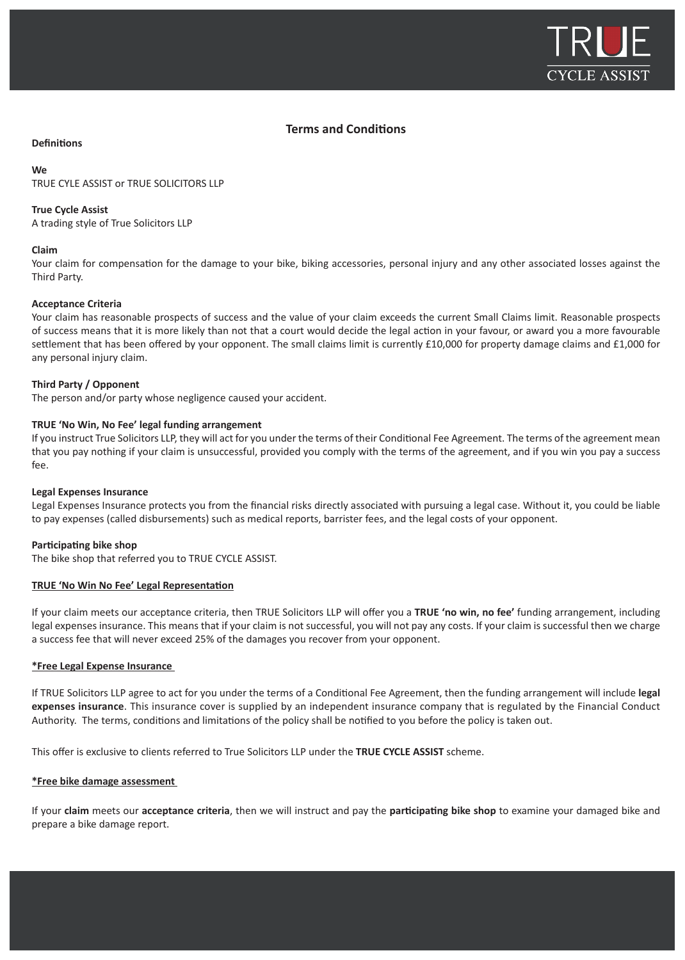

# **Terms and Conditions**

### **Definitions**

#### **We**

TRUE CYLE ASSIST or TRUE SOLICITORS LLP

### **True Cycle Assist**

A trading style of True Solicitors LLP

### **Claim**

Your claim for compensation for the damage to your bike, biking accessories, personal injury and any other associated losses against the Third Party.

### **Acceptance Criteria**

Your claim has reasonable prospects of success and the value of your claim exceeds the current Small Claims limit. Reasonable prospects of success means that it is more likely than not that a court would decide the legal action in your favour, or award you a more favourable settlement that has been offered by your opponent. The small claims limit is currently £10,000 for property damage claims and £1,000 for any personal injury claim.

### **Third Party / Opponent**

The person and/or party whose negligence caused your accident.

### **TRUE 'No Win, No Fee' legal funding arrangement**

If you instruct True Solicitors LLP, they will act for you under the terms of their Conditional Fee Agreement. The terms of the agreement mean that you pay nothing if your claim is unsuccessful, provided you comply with the terms of the agreement, and if you win you pay a success fee.

### **Legal Expenses Insurance**

Legal Expenses Insurance protects you from the financial risks directly associated with pursuing a legal case. Without it, you could be liable to pay expenses (called disbursements) such as medical reports, barrister fees, and the legal costs of your opponent.

### **Participating bike shop**

The bike shop that referred you to TRUE CYCLE ASSIST.

### **TRUE 'No Win No Fee' Legal Representation**

If your claim meets our acceptance criteria, then TRUE Solicitors LLP will offer you a **TRUE 'no win, no fee'** funding arrangement, including legal expenses insurance. This means that if your claim is not successful, you will not pay any costs. If your claim is successful then we charge a success fee that will never exceed 25% of the damages you recover from your opponent.

### **\*Free Legal Expense Insurance**

If TRUE Solicitors LLP agree to act for you under the terms of a Conditional Fee Agreement, then the funding arrangement will include **legal expenses insurance**. This insurance cover is supplied by an independent insurance company that is regulated by the Financial Conduct Authority. The terms, conditions and limitations of the policy shall be notified to you before the policy is taken out.

This offer is exclusive to clients referred to True Solicitors LLP under the **TRUE CYCLE ASSIST** scheme.

### **\*Free bike damage assessment**

If your **claim** meets our **acceptance criteria**, then we will instruct and pay the **participating bike shop** to examine your damaged bike and prepare a bike damage report.